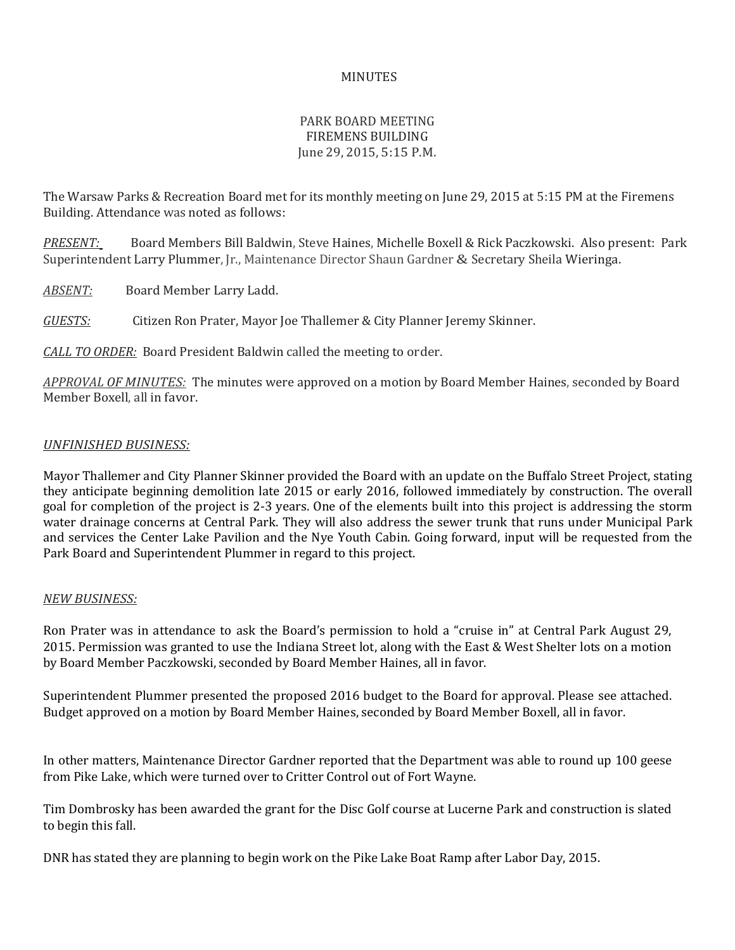## MINUTES

## PARK BOARD MEETING FIREMENS BUILDING June 29, 2015, 5:15 P.M.

The Warsaw Parks & Recreation Board met for its monthly meeting on June 29, 2015 at 5:15 PM at the Firemens Building. Attendance was noted as follows:

*PRESENT:* Board Members Bill Baldwin, Steve Haines, Michelle Boxell & Rick Paczkowski. Also present: Park Superintendent Larry Plummer, Jr., Maintenance Director Shaun Gardner & Secretary Sheila Wieringa.

*ABSENT:* Board Member Larry Ladd.

*GUESTS:* Citizen Ron Prater, Mayor Joe Thallemer & City Planner Jeremy Skinner.

*CALL TO ORDER:* Board President Baldwin called the meeting to order.

*APPROVAL OF MINUTES:* The minutes were approved on a motion by Board Member Haines, seconded by Board Member Boxell, all in favor.

## *UNFINISHED BUSINESS:*

Mayor Thallemer and City Planner Skinner provided the Board with an update on the Buffalo Street Project, stating they anticipate beginning demolition late 2015 or early 2016, followed immediately by construction. The overall goal for completion of the project is 2-3 years. One of the elements built into this project is addressing the storm water drainage concerns at Central Park. They will also address the sewer trunk that runs under Municipal Park and services the Center Lake Pavilion and the Nye Youth Cabin. Going forward, input will be requested from the Park Board and Superintendent Plummer in regard to this project.

## *NEW BUSINESS:*

Ron Prater was in attendance to ask the Board's permission to hold a "cruise in" at Central Park August 29, 2015. Permission was granted to use the Indiana Street lot, along with the East & West Shelter lots on a motion by Board Member Paczkowski, seconded by Board Member Haines, all in favor.

Superintendent Plummer presented the proposed 2016 budget to the Board for approval. Please see attached. Budget approved on a motion by Board Member Haines, seconded by Board Member Boxell, all in favor.

In other matters, Maintenance Director Gardner reported that the Department was able to round up 100 geese from Pike Lake, which were turned over to Critter Control out of Fort Wayne.

Tim Dombrosky has been awarded the grant for the Disc Golf course at Lucerne Park and construction is slated to begin this fall.

DNR has stated they are planning to begin work on the Pike Lake Boat Ramp after Labor Day, 2015.